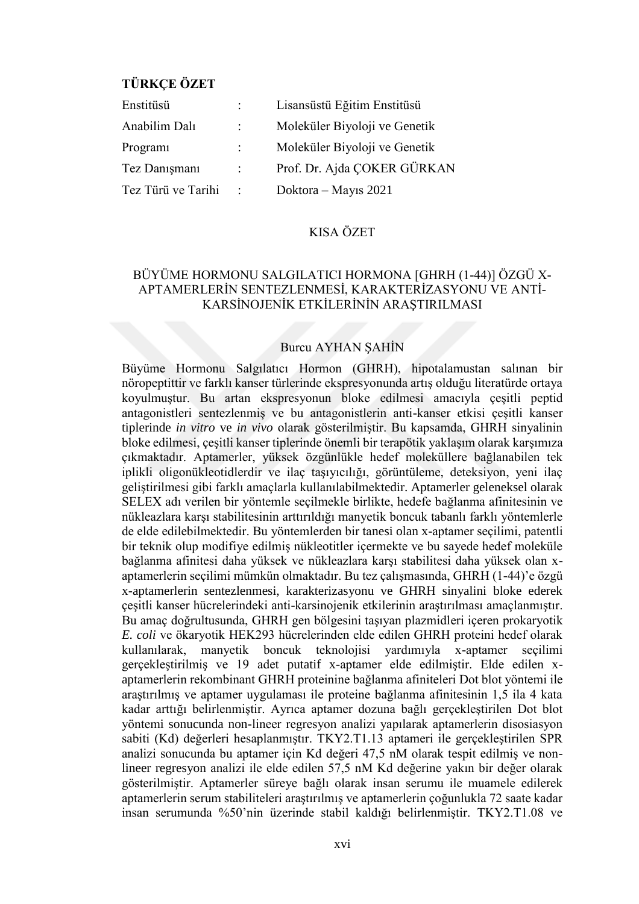# **TÜRKÇE ÖZET**

| Enstitüsü          |                      | Lisansüstü Eğitim Enstitüsü   |
|--------------------|----------------------|-------------------------------|
| Anabilim Dalı      |                      | Moleküler Biyoloji ve Genetik |
| Program            |                      | Moleküler Biyoloji ve Genetik |
| Tez Danışmanı      | ÷                    | Prof. Dr. Ajda COKER GÜRKAN   |
| Tez Türü ve Tarihi | $\ddot{\phantom{a}}$ | Doktora – Mayıs 2021          |

## KISA ÖZET

## BÜYÜME HORMONU SALGILATICI HORMONA [GHRH (1-44)] ÖZGÜ X-APTAMERLERİN SENTEZLENMESİ, KARAKTERİZASYONU VE ANTİ-KARSİNOJENİK ETKİLERİNİN ARAŞTIRILMASI

#### Burcu AYHAN ŞAHİN

Büyüme Hormonu Salgılatıcı Hormon (GHRH), hipotalamustan salınan bir nöropeptittir ve farklı kanser türlerinde ekspresyonunda artış olduğu literatürde ortaya koyulmuştur. Bu artan ekspresyonun bloke edilmesi amacıyla çeşitli peptid antagonistleri sentezlenmiş ve bu antagonistlerin anti-kanser etkisi çeşitli kanser tiplerinde *in vitro* ve *in vivo* olarak gösterilmiştir. Bu kapsamda, GHRH sinyalinin bloke edilmesi, çeşitli kanser tiplerinde önemli bir terapötik yaklaşım olarak karşımıza çıkmaktadır. Aptamerler, yüksek özgünlükle hedef moleküllere bağlanabilen tek iplikli oligonükleotidlerdir ve ilaç taşıyıcılığı, görüntüleme, deteksiyon, yeni ilaç geliştirilmesi gibi farklı amaçlarla kullanılabilmektedir. Aptamerler geleneksel olarak SELEX adı verilen bir yöntemle seçilmekle birlikte, hedefe bağlanma afinitesinin ve nükleazlara karşı stabilitesinin arttırıldığı manyetik boncuk tabanlı farklı yöntemlerle de elde edilebilmektedir. Bu yöntemlerden bir tanesi olan x-aptamer seçilimi, patentli bir teknik olup modifiye edilmiş nükleotitler içermekte ve bu sayede hedef moleküle bağlanma afinitesi daha yüksek ve nükleazlara karşı stabilitesi daha yüksek olan xaptamerlerin seçilimi mümkün olmaktadır. Bu tez çalışmasında, GHRH (1-44)'e özgü x-aptamerlerin sentezlenmesi, karakterizasyonu ve GHRH sinyalini bloke ederek çeşitli kanser hücrelerindeki anti-karsinojenik etkilerinin araştırılması amaçlanmıştır. Bu amaç doğrultusunda, GHRH gen bölgesini taşıyan plazmidleri içeren prokaryotik *E. coli* ve ökaryotik HEK293 hücrelerinden elde edilen GHRH proteini hedef olarak kullanılarak, manyetik boncuk teknolojisi yardımıyla x-aptamer seçilimi gerçekleştirilmiş ve 19 adet putatif x-aptamer elde edilmiştir. Elde edilen xaptamerlerin rekombinant GHRH proteinine bağlanma afiniteleri Dot blot yöntemi ile araştırılmış ve aptamer uygulaması ile proteine bağlanma afinitesinin 1,5 ila 4 kata kadar arttığı belirlenmiştir. Ayrıca aptamer dozuna bağlı gerçekleştirilen Dot blot yöntemi sonucunda non-lineer regresyon analizi yapılarak aptamerlerin disosiasyon sabiti (Kd) değerleri hesaplanmıştır. TKY2.T1.13 aptameri ile gerçekleştirilen SPR analizi sonucunda bu aptamer için Kd değeri 47,5 nM olarak tespit edilmiş ve nonlineer regresyon analizi ile elde edilen 57,5 nM Kd değerine yakın bir değer olarak gösterilmiştir. Aptamerler süreye bağlı olarak insan serumu ile muamele edilerek aptamerlerin serum stabiliteleri araştırılmış ve aptamerlerin çoğunlukla 72 saate kadar insan serumunda %50'nin üzerinde stabil kaldığı belirlenmiştir. TKY2.T1.08 ve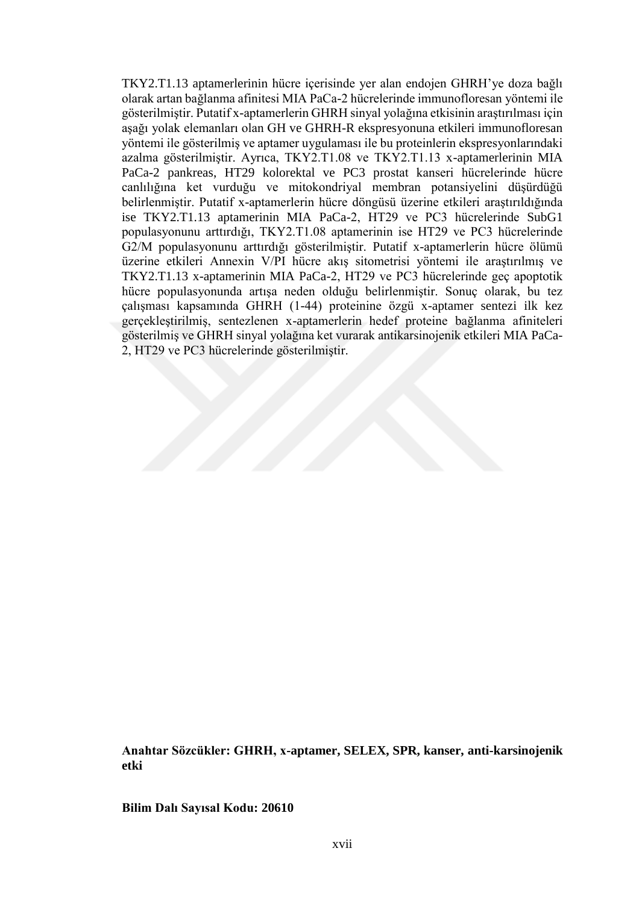TKY2.T1.13 aptamerlerinin hücre içerisinde yer alan endojen GHRH'ye doza bağlı olarak artan bağlanma afinitesi MIA PaCa-2 hücrelerinde immunofloresan yöntemi ile gösterilmiştir. Putatif x-aptamerlerin GHRH sinyal yolağına etkisinin araştırılması için aşağı yolak elemanları olan GH ve GHRH-R ekspresyonuna etkileri immunofloresan yöntemi ile gösterilmiş ve aptamer uygulaması ile bu proteinlerin ekspresyonlarındaki azalma gösterilmiştir. Ayrıca, TKY2.T1.08 ve TKY2.T1.13 x-aptamerlerinin MIA PaCa-2 pankreas, HT29 kolorektal ve PC3 prostat kanseri hücrelerinde hücre canlılığına ket vurduğu ve mitokondriyal membran potansiyelini düşürdüğü belirlenmiştir. Putatif x-aptamerlerin hücre döngüsü üzerine etkileri araştırıldığında ise TKY2.T1.13 aptamerinin MIA PaCa-2, HT29 ve PC3 hücrelerinde SubG1 populasyonunu arttırdığı, TKY2.T1.08 aptamerinin ise HT29 ve PC3 hücrelerinde G2/M populasyonunu arttırdığı gösterilmiştir. Putatif x-aptamerlerin hücre ölümü üzerine etkileri Annexin V/PI hücre akış sitometrisi yöntemi ile araştırılmış ve TKY2.T1.13 x-aptamerinin MIA PaCa-2, HT29 ve PC3 hücrelerinde geç apoptotik hücre populasyonunda artışa neden olduğu belirlenmiştir. Sonuç olarak, bu tez çalışması kapsamında GHRH (1-44) proteinine özgü x-aptamer sentezi ilk kez gerçekleştirilmiş, sentezlenen x-aptamerlerin hedef proteine bağlanma afiniteleri gösterilmiş ve GHRH sinyal yolağına ket vurarak antikarsinojenik etkileri MIA PaCa-2, HT29 ve PC3 hücrelerinde gösterilmiştir.

**Anahtar Sözcükler: GHRH, x-aptamer, SELEX, SPR, kanser, anti-karsinojenik etki**

**Bilim Dalı Sayısal Kodu: 20610**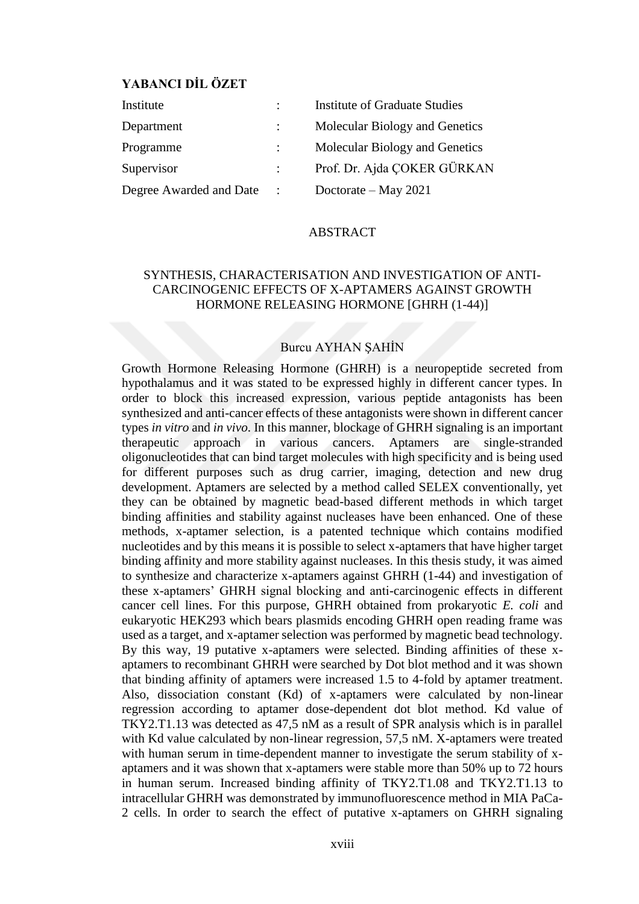## **YABANCI DİL ÖZET**

| Institute               |             | <b>Institute of Graduate Studies</b> |
|-------------------------|-------------|--------------------------------------|
| Department              |             | Molecular Biology and Genetics       |
| Programme               |             | Molecular Biology and Genetics       |
| Supervisor              |             | Prof. Dr. Ajda ÇOKER GÜRKAN          |
| Degree Awarded and Date | $\sim 1000$ | Doctorate – May 2021                 |

#### ABSTRACT

## SYNTHESIS, CHARACTERISATION AND INVESTIGATION OF ANTI-CARCINOGENIC EFFECTS OF X-APTAMERS AGAINST GROWTH HORMONE RELEASING HORMONE [GHRH (1-44)]

### Burcu AYHAN ŞAHİN

Growth Hormone Releasing Hormone (GHRH) is a neuropeptide secreted from hypothalamus and it was stated to be expressed highly in different cancer types. In order to block this increased expression, various peptide antagonists has been synthesized and anti-cancer effects of these antagonists were shown in different cancer types *in vitro* and *in vivo*. In this manner, blockage of GHRH signaling is an important therapeutic approach in various cancers. Aptamers are single-stranded oligonucleotides that can bind target molecules with high specificity and is being used for different purposes such as drug carrier, imaging, detection and new drug development. Aptamers are selected by a method called SELEX conventionally, yet they can be obtained by magnetic bead-based different methods in which target binding affinities and stability against nucleases have been enhanced. One of these methods, x-aptamer selection, is a patented technique which contains modified nucleotides and by this means it is possible to select x-aptamers that have higher target binding affinity and more stability against nucleases. In this thesis study, it was aimed to synthesize and characterize x-aptamers against GHRH (1-44) and investigation of these x-aptamers' GHRH signal blocking and anti-carcinogenic effects in different cancer cell lines. For this purpose, GHRH obtained from prokaryotic *E. coli* and eukaryotic HEK293 which bears plasmids encoding GHRH open reading frame was used as a target, and x-aptamer selection was performed by magnetic bead technology. By this way, 19 putative x-aptamers were selected. Binding affinities of these xaptamers to recombinant GHRH were searched by Dot blot method and it was shown that binding affinity of aptamers were increased 1.5 to 4-fold by aptamer treatment. Also, dissociation constant (Kd) of x-aptamers were calculated by non-linear regression according to aptamer dose-dependent dot blot method. Kd value of TKY2.T1.13 was detected as 47,5 nM as a result of SPR analysis which is in parallel with Kd value calculated by non-linear regression, 57,5 nM. X-aptamers were treated with human serum in time-dependent manner to investigate the serum stability of xaptamers and it was shown that x-aptamers were stable more than 50% up to 72 hours in human serum. Increased binding affinity of TKY2.T1.08 and TKY2.T1.13 to intracellular GHRH was demonstrated by immunofluorescence method in MIA PaCa-2 cells. In order to search the effect of putative x-aptamers on GHRH signaling